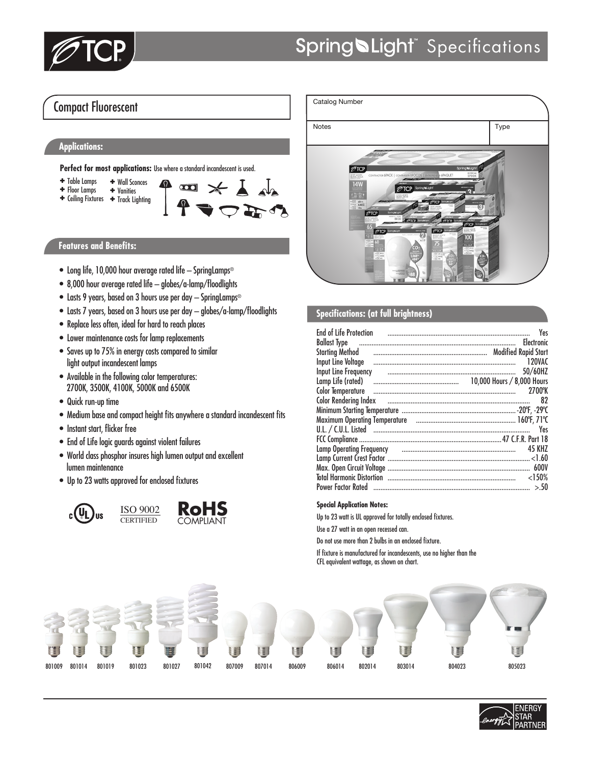

## Compact Fluorescent

### **Applications:**

Perfect for most applications: Use where a standard incandescent is used.



#### **Features and Benefits:**

- Long life, 10,000 hour average rated life SpringLamps®
- 8,000 hour average rated life globes/a-lamp/floodlights
- Lasts 9 years, based on 3 hours use per day SpringLamps®
- Lasts 7 years, based on 3 hours use per day globes/a-lamp/floodlights
- Replace less often, ideal for hard to reach places
- Lower maintenance costs for lamp replacements
- Saves up to 75% in energy costs compared to similar light output incandescent lamps
- Available in the following color temperatures: 2700K, 3500K, 4100K, 5000K and 6500K
- Quick run-up time
- Medium base and compact height fits anywhere a standard incandescent fits
- Instant start, flicker free
- End of Life logic guards against violent failures
- World class phosphor insures high lumen output and excellent lumen maintenance
- Up to 23 watts approved for enclosed fixtures







#### **Specifications: (at full brightness)**

| <b>End of Life Protection</b>                                                     | Yes           |
|-----------------------------------------------------------------------------------|---------------|
|                                                                                   |               |
| Starting Method (all all all all all all alternative and the Modified Rapid Start |               |
|                                                                                   | 120VAC        |
| Input Line Frequency                                                              | 50/60HZ       |
|                                                                                   |               |
|                                                                                   | 2700°K        |
| Color Rendering Index <b>contract to the Color Rendering Index</b>                | 82            |
|                                                                                   |               |
|                                                                                   |               |
|                                                                                   | Yes           |
|                                                                                   |               |
| Lamp Operating Frequency и политической положении положения и составили положения | <b>45 KHZ</b> |
|                                                                                   |               |
|                                                                                   |               |
|                                                                                   | $<$ 150%      |
| Power Factor Rated ………………………………………………………………………………………                              | > 50          |

#### **Special Application Notes:**

Up to 23 watt is UL approved for totally enclosed fixtures.

Use a 27 watt in an open recessed can.

Do not use more than 2 bulbs in an enclosed fixture.

If fixture is manufactured for incandescents, use no higher than the CFL equivalent wattage, as shown on chart.